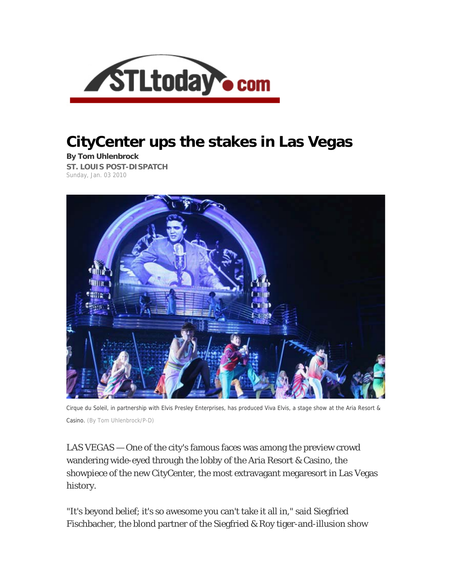

## **CityCenter ups the stakes in Las Vegas**

**By Tom Uhlenbrock ST. LOUIS POST-DISPATCH**  Sunday, Jan. 03 2010



Cirque du Soleil, in partnership with Elvis Presley Enterprises, has produced Viva Elvis, a stage show at the Aria Resort & Casino. (By Tom Uhlenbrock/P-D)

LAS VEGAS — One of the city's famous faces was among the preview crowd wandering wide-eyed through the lobby of the Aria Resort & Casino, the showpiece of the new CityCenter, the most extravagant megaresort in Las Vegas history.

"It's beyond belief; it's so awesome you can't take it all in," said Siegfried Fischbacher, the blond partner of the Siegfried & Roy tiger-and-illusion show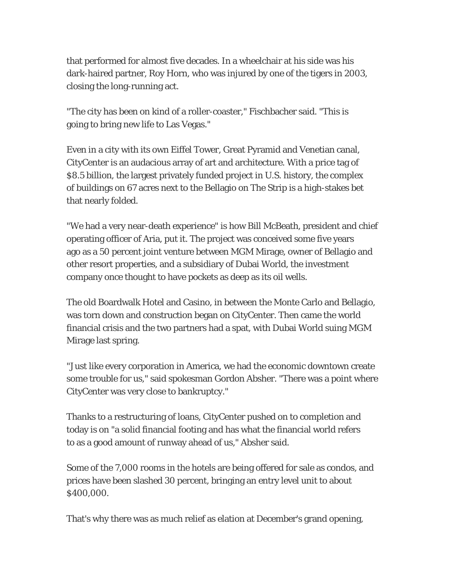that performed for almost five decades. In a wheelchair at his side was his dark-haired partner, Roy Horn, who was injured by one of the tigers in 2003, closing the long-running act.

"The city has been on kind of a roller-coaster," Fischbacher said. "This is going to bring new life to Las Vegas."

Even in a city with its own Eiffel Tower, Great Pyramid and Venetian canal, CityCenter is an audacious array of art and architecture. With a price tag of \$8.5 billion, the largest privately funded project in U.S. history, the complex of buildings on 67 acres next to the Bellagio on The Strip is a high-stakes bet that nearly folded.

"We had a very near-death experience" is how Bill McBeath, president and chief operating officer of Aria, put it. The project was conceived some five years ago as a 50 percent joint venture between MGM Mirage, owner of Bellagio and other resort properties, and a subsidiary of Dubai World, the investment company once thought to have pockets as deep as its oil wells.

The old Boardwalk Hotel and Casino, in between the Monte Carlo and Bellagio, was torn down and construction began on CityCenter. Then came the world financial crisis and the two partners had a spat, with Dubai World suing MGM Mirage last spring.

"Just like every corporation in America, we had the economic downtown create some trouble for us," said spokesman Gordon Absher. "There was a point where CityCenter was very close to bankruptcy."

Thanks to a restructuring of loans, CityCenter pushed on to completion and today is on "a solid financial footing and has what the financial world refers to as a good amount of runway ahead of us," Absher said.

Some of the 7,000 rooms in the hotels are being offered for sale as condos, and prices have been slashed 30 percent, bringing an entry level unit to about \$400,000.

That's why there was as much relief as elation at December's grand opening,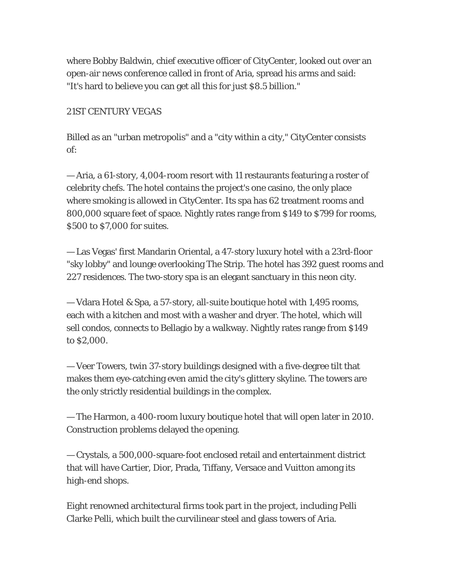where Bobby Baldwin, chief executive officer of CityCenter, looked out over an open-air news conference called in front of Aria, spread his arms and said: "It's hard to believe you can get all this for just \$8.5 billion."

## 21ST CENTURY VEGAS

Billed as an "urban metropolis" and a "city within a city," CityCenter consists of:

— Aria, a 61-story, 4,004-room resort with 11 restaurants featuring a roster of celebrity chefs. The hotel contains the project's one casino, the only place where smoking is allowed in CityCenter. Its spa has 62 treatment rooms and 800,000 square feet of space. Nightly rates range from \$149 to \$799 for rooms, \$500 to \$7,000 for suites.

— Las Vegas' first Mandarin Oriental, a 47-story luxury hotel with a 23rd-floor "sky lobby" and lounge overlooking The Strip. The hotel has 392 guest rooms and 227 residences. The two-story spa is an elegant sanctuary in this neon city.

— Vdara Hotel & Spa, a 57-story, all-suite boutique hotel with 1,495 rooms, each with a kitchen and most with a washer and dryer. The hotel, which will sell condos, connects to Bellagio by a walkway. Nightly rates range from \$149 to \$2,000.

— Veer Towers, twin 37-story buildings designed with a five-degree tilt that makes them eye-catching even amid the city's glittery skyline. The towers are the only strictly residential buildings in the complex.

— The Harmon, a 400-room luxury boutique hotel that will open later in 2010. Construction problems delayed the opening.

— Crystals, a 500,000-square-foot enclosed retail and entertainment district that will have Cartier, Dior, Prada, Tiffany, Versace and Vuitton among its high-end shops.

Eight renowned architectural firms took part in the project, including Pelli Clarke Pelli, which built the curvilinear steel and glass towers of Aria.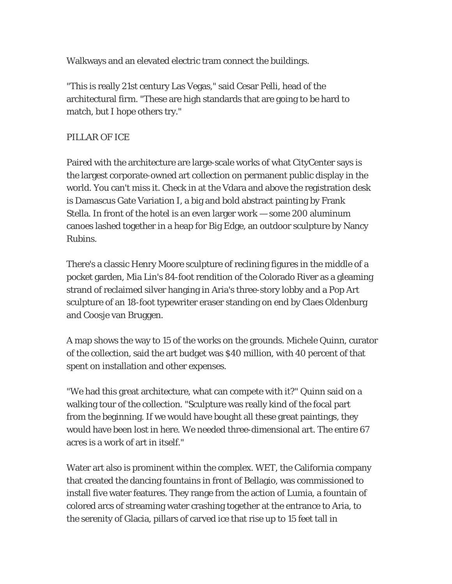Walkways and an elevated electric tram connect the buildings.

"This is really 21st century Las Vegas," said Cesar Pelli, head of the architectural firm. "These are high standards that are going to be hard to match, but I hope others try."

## PILLAR OF ICE

Paired with the architecture are large-scale works of what CityCenter says is the largest corporate-owned art collection on permanent public display in the world. You can't miss it. Check in at the Vdara and above the registration desk is Damascus Gate Variation I, a big and bold abstract painting by Frank Stella. In front of the hotel is an even larger work — some 200 aluminum canoes lashed together in a heap for Big Edge, an outdoor sculpture by Nancy Rubins.

There's a classic Henry Moore sculpture of reclining figures in the middle of a pocket garden, Mia Lin's 84-foot rendition of the Colorado River as a gleaming strand of reclaimed silver hanging in Aria's three-story lobby and a Pop Art sculpture of an 18-foot typewriter eraser standing on end by Claes Oldenburg and Coosje van Bruggen.

A map shows the way to 15 of the works on the grounds. Michele Quinn, curator of the collection, said the art budget was \$40 million, with 40 percent of that spent on installation and other expenses.

"We had this great architecture, what can compete with it?" Quinn said on a walking tour of the collection. "Sculpture was really kind of the focal part from the beginning. If we would have bought all these great paintings, they would have been lost in here. We needed three-dimensional art. The entire 67 acres is a work of art in itself."

Water art also is prominent within the complex. WET, the California company that created the dancing fountains in front of Bellagio, was commissioned to install five water features. They range from the action of Lumia, a fountain of colored arcs of streaming water crashing together at the entrance to Aria, to the serenity of Glacia, pillars of carved ice that rise up to 15 feet tall in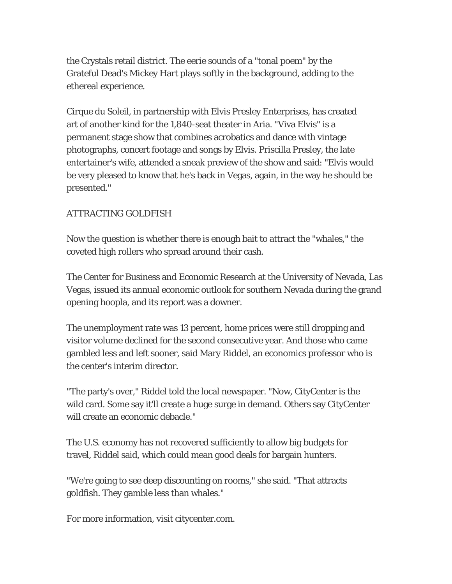the Crystals retail district. The eerie sounds of a "tonal poem" by the Grateful Dead's Mickey Hart plays softly in the background, adding to the ethereal experience.

Cirque du Soleil, in partnership with Elvis Presley Enterprises, has created art of another kind for the 1,840-seat theater in Aria. "Viva Elvis" is a permanent stage show that combines acrobatics and dance with vintage photographs, concert footage and songs by Elvis. Priscilla Presley, the late entertainer's wife, attended a sneak preview of the show and said: "Elvis would be very pleased to know that he's back in Vegas, again, in the way he should be presented."

## ATTRACTING GOLDFISH

Now the question is whether there is enough bait to attract the "whales," the coveted high rollers who spread around their cash.

The Center for Business and Economic Research at the University of Nevada, Las Vegas, issued its annual economic outlook for southern Nevada during the grand opening hoopla, and its report was a downer.

The unemployment rate was 13 percent, home prices were still dropping and visitor volume declined for the second consecutive year. And those who came gambled less and left sooner, said Mary Riddel, an economics professor who is the center's interim director.

"The party's over," Riddel told the local newspaper. "Now, CityCenter is the wild card. Some say it'll create a huge surge in demand. Others say CityCenter will create an economic debacle."

The U.S. economy has not recovered sufficiently to allow big budgets for travel, Riddel said, which could mean good deals for bargain hunters.

"We're going to see deep discounting on rooms," she said. "That attracts goldfish. They gamble less than whales."

For more information, visit citycenter.com.